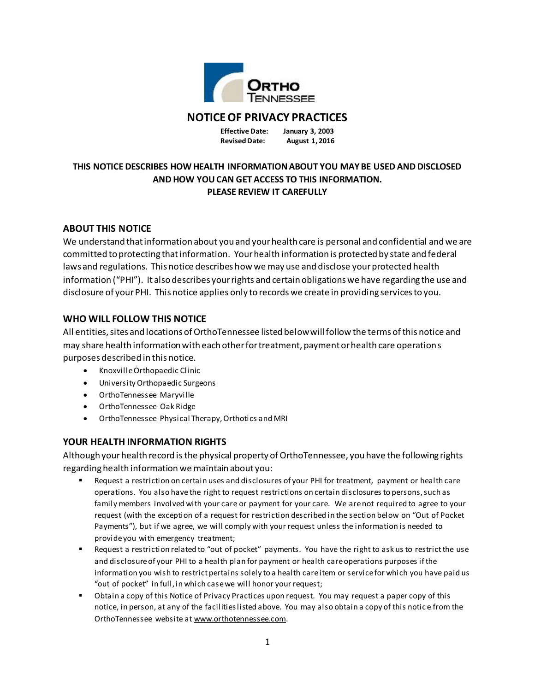

# **NOTICE OF PRIVACY PRACTICES**

**Effective Date: January 3, 2003 Revised Date: August 1, 2016**

# **THIS NOTICE DESCRIBES HOW HEALTH INFORMATION ABOUT YOU MAY BE USED AND DISCLOSED AND HOW YOU CAN GET ACCESS TO THIS INFORMATION. PLEASE REVIEW IT CAREFULLY**

# **ABOUT THIS NOTICE**

We understand that information about you and your health care is personal and confidential and we are committed to protecting that information. Your health information is protected by state and federal laws and regulations. This notice describes how we may use and disclose your protected health information ("PHI"). It also describes your rights and certain obligations we have regarding the use and disclosure of your PHI. This notice applies only to records we create in providing services to you.

# **WHO WILL FOLLOW THIS NOTICE**

All entities, sites and locations of OrthoTennessee listed below will follow the terms of this notice and may share health information with each other for treatment, payment or health care operations purposes described in this notice.

- Knoxville Orthopaedic Clinic
- University Orthopaedic Surgeons
- OrthoTennessee Maryville
- OrthoTennessee Oak Ridge
- OrthoTennessee Physical Therapy, Orthotics and MRI

## **YOUR HEALTH INFORMATION RIGHTS**

Although your health record isthe physical property of OrthoTennessee, you have the following rights regarding health information we maintain about you:

- Request a restriction on certain uses and disclosures of your PHI for treatment, payment or health care operations. You also have the right to request restrictions on certain disclosures to persons, such as family members involved with your care or payment for your care. We are not required to agree to your request (with the exception of a request for restriction described in the section below on "Out of Pocket Payments"), but if we agree, we will comply with your request unless the information is needed to provide you with emergency treatment;
- Request a restriction related to "out of pocket" payments. You have the right to ask us to restrict the use and disclosure of your PHI to a health plan for payment or health care operations purposes if the information you wish to restrict pertains solely to a health care item or service for which you have paid us "out of pocket" in full, in which case we will honor your request;
- Obtain a copy of this Notice of Privacy Practices upon request. You may request a paper copy of this notice, in person, at any of the facilities listed above. You may also obtain a copy of this notic e from the OrthoTennessee website at www.orthotennessee.com.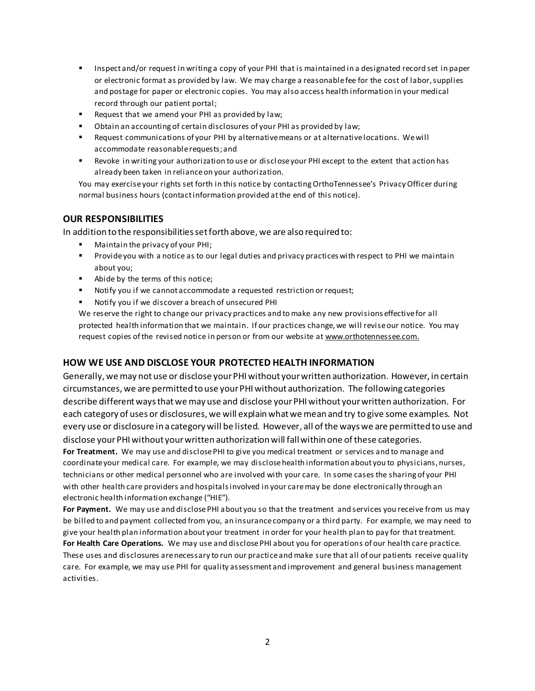- Inspect and/or request in writing a copy of your PHI that is maintained in a designated record set in paper or electronic format as provided by law. We may charge a reasonable fee for the cost of labor, supplies and postage for paper or electronic copies. You may also access health information in your medical record through our patient portal;
- **Request that we amend your PHI as provided by law;**
- Obtain an accounting of certain disclosures of your PHI as provided by law;
- Request communications of your PHI by alternative means or at alternative locations. We will accommodate reasonable requests; and
- Revoke in writing your authorization to use or disclose your PHI except to the extent that action has already been taken in reliance on your authorization.

You may exercise your rights set forth in this notice by contacting OrthoTennessee's Privacy Officer during normal business hours (contact information provided at the end of this notice).

### **OUR RESPONSIBILITIES**

In addition to the responsibilities set forth above, we are also required to:

- Maintain the privacy of your PHI;
- Provide you with a notice as to our legal duties and privacy practices with respect to PHI we maintain about you;
- Abide by the terms of this notice;
- Notify you if we cannot accommodate a requested restriction or request;
- Notify you if we discover a breach of unsecured PHI

We reserve the right to change our privacy practices and to make any new provisions effective for all protected health information that we maintain. If our practices change, we will revise our notice. You may request copies of the revised notice in person or from our website at www.orthotennessee.com.

### **HOW WE USE AND DISCLOSE YOUR PROTECTED HEALTH INFORMATION**

Generally, we may not use or disclose your PHI without your written authorization. However, in certain circumstances, we are permitted to use your PHI without authorization. The following categories describe different ways that we may use and disclose your PHI without your written authorization. For each category of uses or disclosures, we will explain what we mean and try to give some examples. Not every use or disclosure in a category will be listed. However, all of the ways we are permitted to use and disclose your PHI without your written authorization will fall within one of these categories.

**For Treatment.** We may use and disclose PHI to give you medical treatment or services and to manage and coordinate your medical care. For example, we may disclose health information about you to physicians, nurses, technicians or other medical personnel who are involved with your care. In some cases the sharing of your PHI with other health care providers and hospitals involved in your care may be done electronically through an electronic health information exchange ("HIE").

**For Payment.** We may use and disclose PHI about you so that the treatment and services you receive from us may be billed to and payment collected from you, an insurance company or a third party. For example, we may need to give your health plan information about your treatment in order for your health plan to pay for that treatment. **For Health Care Operations.** We may use and disclose PHI about you for operations of our health care practice. These uses and disclosures are necessary to run our practice and make sure that all of our patients receive quality care. For example, we may use PHI for quality assessment and improvement and general business management activities.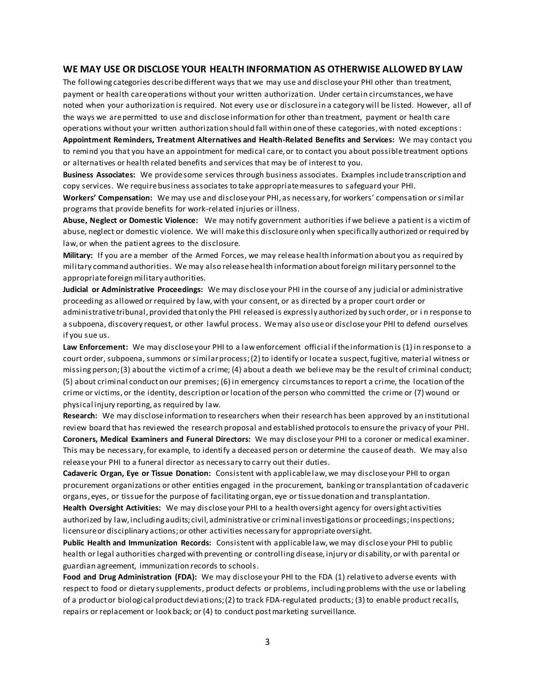#### **WE MAY USE OR DISCLOSE YOUR HEALTH INFORMATION AS OTHERWISE ALLOWED BY LAW**

The following categories describe different ways that we may use and disclose your PHI other than treatment, payment or health care operations without your written authorization. Under certain circumstances, we have noted when your authorization is required. Not every use or disclosure in a category will be listed. However, all of the ways we are permitted to use and disclose information for other than treatment, payment or health care operations without your written authorization should fall within one of these categories, with noted exceptions:

**Appointment Reminders, Treatment Alternatives and Health-Related Benefits and Services:** We may contact you to remind you that you have an appointment for medical care, or to contact you about possible treatment options or alternatives or health related benefits and services that may be of interest to you.

**Business Associates:** We provide some services through business associates. Examples include transcription and copy services. We require business associates to take appropriate measures to safeguard your PHI.

**Workers' Compensation:** We may use and disclose your PHI, as necessary, for workers' compensation or similar programs that provide benefits for work-related injuries or illness.

**Abuse, Neglect or Domestic Violence:** We may notify government authorities if we believe a patient is a victim of abuse, neglect or domestic violence. We will make this disclosure only when specifically authorized or required by law, or when the patient agrees to the disclosure.

**Military:** If you are a member of the Armed Forces, we may release health information about you as required by military command authorities. We may also release health information about foreign military personnel to the appropriate foreign military authorities.

**Judicial or Administrative Proceedings:** We may disclose your PHI in the course of any judicial or administrative proceeding as allowed or required by law, with your consent, or as directed by a proper court order or administrative tribunal, provided that only the PHI released is expressly authorized by such order, or i n response to a subpoena, discovery request, or other lawful process. We may also use or disclose your PHI to defend ourselves if you sue us.

**Law Enforcement:** We may disclose your PHI to a law enforcement official if the information is (1) in response to a court order, subpoena, summons or similar process; (2) to identify or locate a suspect, fugitive, material witness or missing person; (3) about the victim of a crime; (4) about a death we believe may be the result of criminal conduct; (5) about criminal conduct on our premises; (6) in emergency circumstances to report a crime, the location of the crime or victims, or the identity, description or location of the person who committed the crime or (7) wound or physical injury reporting, as required by law.

**Research:** We may disclose information to researchers when their research has been approved by an institutional review board that has reviewed the research proposal and established protocols to ensure the privacy of your PHI. **Coroners, Medical Examiners and Funeral Directors:** We may disclose your PHI to a coroner or medical examiner. This may be necessary, for example, to identify a deceased person or determine the cause of death. We may also release your PHI to a funeral director as necessary to carry out their duties.

**Cadaveric Organ, Eye or Tissue Donation:** Consistent with applicable law, we may disclose your PHI to organ procurement organizations or other entities engaged in the procurement, banking or transplantation of cadaveric organs, eyes, or tissue for the purpose of facilitating organ, eye or tissue donation and transplantation.

**Health Oversight Activities:** We may disclose your PHI to a health oversight agency for oversight activities authorized by law, including audits; civil, administrative or criminal investigations or proceedings; inspections; licensure or disciplinary actions; or other activities necessary for appropriate oversight.

**Public Health and Immunization Records:** Consistent with applicable law, we may disclose your PHI to public health or legal authorities charged with preventing or controlling disease, injury or disability, or with parental or guardian agreement, immunization records to schools.

**Food and Drug Administration (FDA):** We may disclose your PHI to the FDA (1) relative to adverse events with respect to food or dietary supplements, product defects or problems, including problems with the use or labeling of a product or biological product deviations; (2) to track FDA-regulated products; (3) to enable product recalls, repairs or replacement or look back; or (4) to conduct post marketing surveillance.